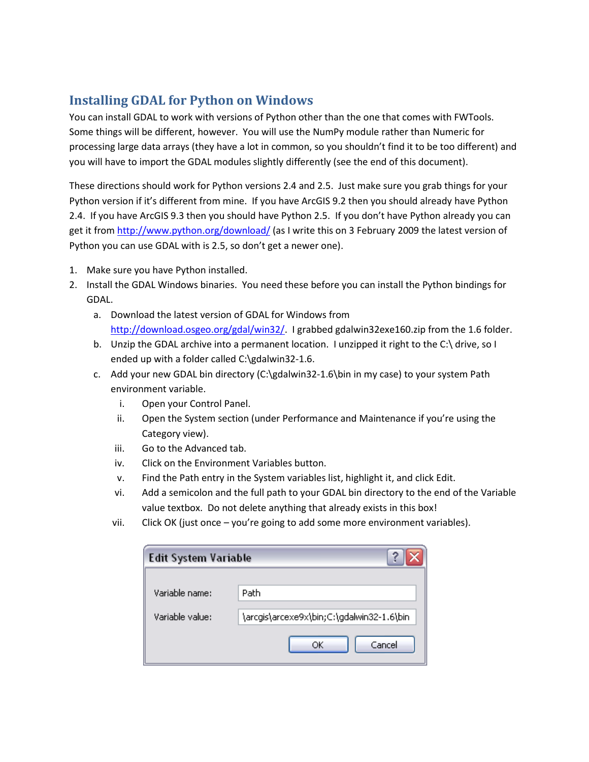## **Installing GDAL for Python on Windows**

You can install GDAL to work with versions of Python other than the one that comes with FWTools. Some things will be different, however. You will use the NumPy module rather than Numeric for processing large data arrays (they have a lot in common, so you shouldn't find it to be too different) and you will have to import the GDAL modules slightly differently (see the end of this document).

These directions should work for Python versions 2.4 and 2.5. Just make sure you grab things for your Python version if it's different from mine. If you have ArcGIS 9.2 then you should already have Python 2.4. If you have ArcGIS 9.3 then you should have Python 2.5. If you don't have Python already you can get it from<http://www.python.org/download/> (as I write this on 3 February 2009 the latest version of Python you can use GDAL with is 2.5, so don't get a newer one).

- 1. Make sure you have Python installed.
- 2. Install the GDAL Windows binaries. You need these before you can install the Python bindings for GDAL.
	- a. Download the latest version of GDAL for Windows from [http://download.osgeo.org/gdal/win32/.](http://download.osgeo.org/gdal/win32/) I grabbed gdalwin32exe160.zip from the 1.6 folder.
	- b. Unzip the GDAL archive into a permanent location. I unzipped it right to the C:\ drive, so I ended up with a folder called C:\gdalwin32-1.6.
	- c. Add your new GDAL bin directory (C:\gdalwin32-1.6\bin in my case) to your system Path environment variable.
		- i. Open your Control Panel.
		- ii. Open the System section (under Performance and Maintenance if you're using the Category view).
		- iii. Go to the Advanced tab.
		- iv. Click on the Environment Variables button.
		- v. Find the Path entry in the System variables list, highlight it, and click Edit.
		- vi. Add a semicolon and the full path to your GDAL bin directory to the end of the Variable value textbox. Do not delete anything that already exists in this box!
		- vii. Click OK (just once you're going to add some more environment variables).

| Edit System Variable |                                           |
|----------------------|-------------------------------------------|
| Variable name:       | Path                                      |
| Variable value:      | \arcgis\arcexe9x\bin;C:\gdalwin32-1.6\bin |
|                      | Cancel<br>ОК                              |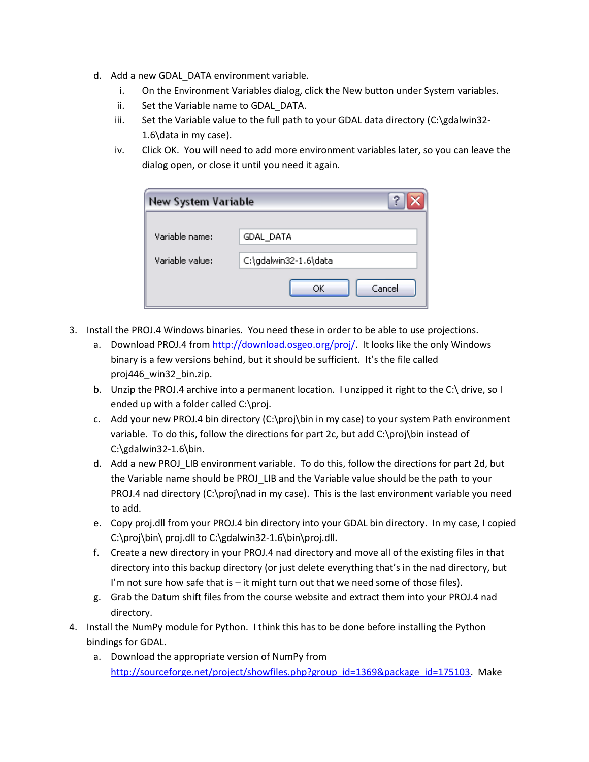- d. Add a new GDAL DATA environment variable.
	- i. On the Environment Variables dialog, click the New button under System variables.
	- ii. Set the Variable name to GDAL\_DATA.
	- iii. Set the Variable value to the full path to your GDAL data directory (C:\gdalwin32- 1.6\data in my case).
	- iv. Click OK. You will need to add more environment variables later, so you can leave the dialog open, or close it until you need it again.

| <b>New System Variable</b> |                       |
|----------------------------|-----------------------|
| Variable name:             | GDAL_DATA             |
| Variable value:            | C:\gdalwin32-1.6\data |
|                            | Cancel<br>ОК          |

- 3. Install the PROJ.4 Windows binaries. You need these in order to be able to use projections.
	- a. Download PROJ.4 from [http://download.osgeo.org/proj/.](http://download.osgeo.org/proj/) It looks like the only Windows binary is a few versions behind, but it should be sufficient. It's the file called proj446\_win32\_bin.zip.
	- b. Unzip the PROJ.4 archive into a permanent location. I unzipped it right to the C:\ drive, so I ended up with a folder called C:\proj.
	- c. Add your new PROJ.4 bin directory (C:\proj\bin in my case) to your system Path environment variable. To do this, follow the directions for part 2c, but add C:\proj\bin instead of C:\gdalwin32-1.6\bin.
	- d. Add a new PROJ\_LIB environment variable. To do this, follow the directions for part 2d, but the Variable name should be PROJ\_LIB and the Variable value should be the path to your PROJ.4 nad directory (C:\proj\nad in my case). This is the last environment variable you need to add.
	- e. Copy proj.dll from your PROJ.4 bin directory into your GDAL bin directory. In my case, I copied C:\proj\bin\ proj.dll to C:\gdalwin32-1.6\bin\proj.dll.
	- f. Create a new directory in your PROJ.4 nad directory and move all of the existing files in that directory into this backup directory (or just delete everything that's in the nad directory, but I'm not sure how safe that is  $-$  it might turn out that we need some of those files).
	- g. Grab the Datum shift files from the course website and extract them into your PROJ.4 nad directory.
- 4. Install the NumPy module for Python. I think this has to be done before installing the Python bindings for GDAL.
	- a. Download the appropriate version of NumPy from [http://sourceforge.net/project/showfiles.php?group\\_id=1369&package\\_id=175103.](http://sourceforge.net/project/showfiles.php?group_id=1369&package_id=175103) Make